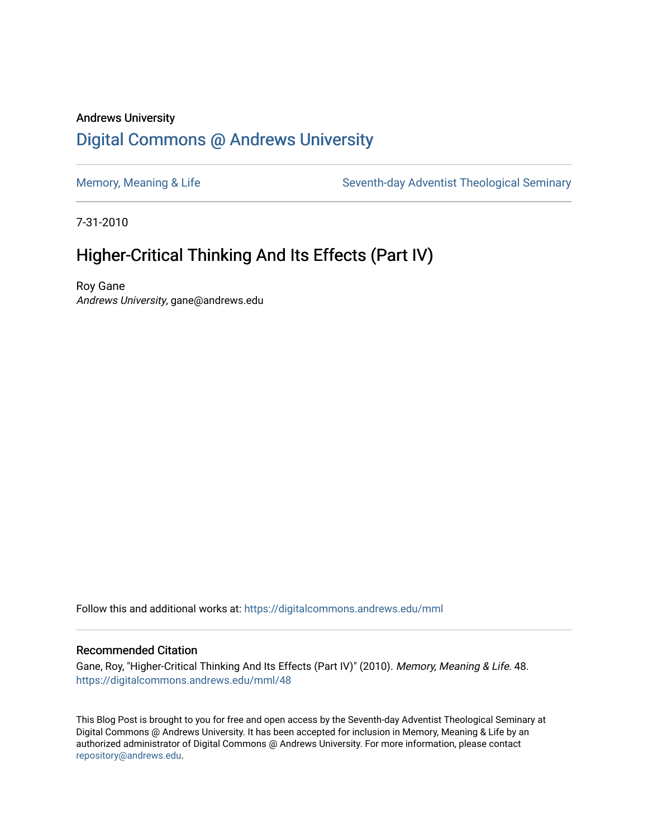### Andrews University [Digital Commons @ Andrews University](https://digitalcommons.andrews.edu/)

[Memory, Meaning & Life](https://digitalcommons.andrews.edu/mml) Seventh-day Adventist Theological Seminary

7-31-2010

## Higher-Critical Thinking And Its Effects (Part IV)

Roy Gane Andrews University, gane@andrews.edu

Follow this and additional works at: [https://digitalcommons.andrews.edu/mml](https://digitalcommons.andrews.edu/mml?utm_source=digitalcommons.andrews.edu%2Fmml%2F48&utm_medium=PDF&utm_campaign=PDFCoverPages) 

#### Recommended Citation

Gane, Roy, "Higher-Critical Thinking And Its Effects (Part IV)" (2010). Memory, Meaning & Life. 48. [https://digitalcommons.andrews.edu/mml/48](https://digitalcommons.andrews.edu/mml/48?utm_source=digitalcommons.andrews.edu%2Fmml%2F48&utm_medium=PDF&utm_campaign=PDFCoverPages)

This Blog Post is brought to you for free and open access by the Seventh-day Adventist Theological Seminary at Digital Commons @ Andrews University. It has been accepted for inclusion in Memory, Meaning & Life by an authorized administrator of Digital Commons @ Andrews University. For more information, please contact [repository@andrews.edu](mailto:repository@andrews.edu).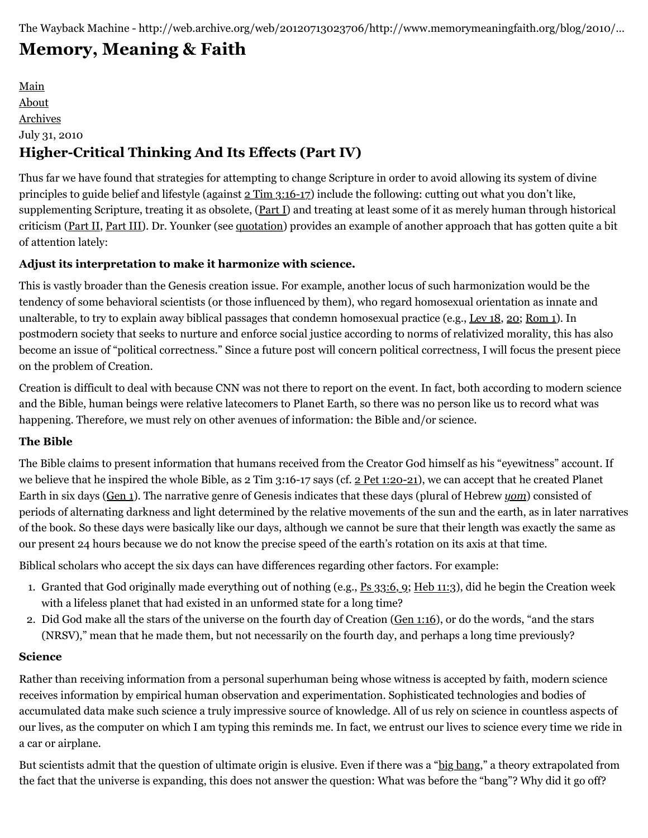# **[Memory, Meaning & Faith](http://web.archive.org/web/20120713023706/http://www.memorymeaningfaith.org/blog/)**

[Main](http://web.archive.org/web/20120713023706/http://www.memorymeaningfaith.org/blog) [About](http://web.archive.org/web/20120713023706/http://www.memorymeaningfaith.org/blog/about.html) [Archives](http://web.archive.org/web/20120713023706/http://www.memorymeaningfaith.org/blog/archives.html) July 31, 2010 **Higher-Critical Thinking And Its Effects (Part IV)**

Thus far we have found that strategies for attempting to change Scripture in order to avoid allowing its system of divine principles to guide belief and lifestyle (against [2 Tim 3:16-17](http://web.archive.org/web/20120713023706/http://www.biblestudytools.com/nrs/2-timothy/passage.aspx?q=2%20Timothy+3:16-17)) include the following: cutting out what you don't like, supplementing Scripture, treating it as obsolete, ([Part I\)](http://web.archive.org/web/20120713023706/http://www.memorymeaningfaith.org/blog/2010/07/highercritical-thinking-part-ii.html) and treating at least some of it as merely human through historical criticism [\(Part II,](http://web.archive.org/web/20120713023706/http://www.memorymeaningfaith.org/blog/2010/07/highercritical-thinking-part-ii.html) [Part III\)](http://web.archive.org/web/20120713023706/http://www.memorymeaningfaith.org/blog/2010/07/highercritical-thinking-part-iii.html). Dr. Younker (see [quotation\)](http://web.archive.org/web/20120713023706/http://www.memorymeaningfaith.org/blog/2010/07/randal-younker-on-reading-genesis.html.html) provides an example of another approach that has gotten quite a bit of attention lately:

#### **Adjust its interpretation to make it harmonize with science.**

This is vastly broader than the Genesis creation issue. For example, another locus of such harmonization would be the tendency of some behavioral scientists (or those influenced by them), who regard homosexual orientation as innate and unalterable, to try to explain away biblical passages that condemn homosexual practice (e.g., [Lev 18](http://web.archive.org/web/20120713023706/http://www.biblestudytools.com/nrs/leviticus/18.html), [20;](http://web.archive.org/web/20120713023706/http://www.biblestudytools.com/nrs/leviticus/20.html) [Rom 1\)](http://web.archive.org/web/20120713023706/http://www.biblestudytools.com/nrs/romans/1.html). In postmodern society that seeks to nurture and enforce social justice according to norms of relativized morality, this has also become an issue of "political correctness." Since a future post will concern political correctness, I will focus the present piece on the problem of Creation.

Creation is difficult to deal with because CNN was not there to report on the event. In fact, both according to modern science and the Bible, human beings were relative latecomers to Planet Earth, so there was no person like us to record what was happening. Therefore, we must rely on other avenues of information: the Bible and/or science.

#### **The Bible**

The Bible claims to present information that humans received from the Creator God himself as his "eyewitness" account. If we believe that he inspired the whole Bible, as 2 Tim 3:16-17 says (cf. [2 Pet 1:20-21](http://web.archive.org/web/20120713023706/http://www.biblestudytools.com/nrs/2-peter/passage.aspx?q=2%20Peter+1:20-21)), we can accept that he created Planet Earth in six days ([Gen 1](http://web.archive.org/web/20120713023706/http://www.biblestudytools.com/nrs/genesis/1.html)). The narrative genre of Genesis indicates that these days (plural of Hebrew *[yom](http://web.archive.org/web/20120713023706/http://www.biblestudytools.com/lexicons/hebrew/kjv/yowm.html)*) consisted of periods of alternating darkness and light determined by the relative movements of the sun and the earth, as in later narratives of the book. So these days were basically like our days, although we cannot be sure that their length was exactly the same as our present 24 hours because we do not know the precise speed of the earth's rotation on its axis at that time.

Biblical scholars who accept the six days can have differences regarding other factors. For example:

- 1. Granted that God originally made everything out of nothing (e.g., [Ps 33:6, 9](http://web.archive.org/web/20120713023706/http://www.biblestudytools.com/nrs/psalms/passage.aspx?q=Psalm+33:6;Psalm+33:9); [Heb 11:3\)](http://web.archive.org/web/20120713023706/http://www.biblestudytools.com/nrs/hebrews/11-3.html), did he begin the Creation week with a lifeless planet that had existed in an unformed state for a long time?
- 2. Did God make all the stars of the universe on the fourth day of Creation ([Gen 1:16](http://web.archive.org/web/20120713023706/http://www.biblestudytools.com/nrs/genesis/1-16.html)), or do the words, "and the stars (NRSV)," mean that he made them, but not necessarily on the fourth day, and perhaps a long time previously?

#### **Science**

Rather than receiving information from a personal superhuman being whose witness is accepted by faith, modern science receives information by empirical human observation and experimentation. Sophisticated technologies and bodies of accumulated data make such science a truly impressive source of knowledge. All of us rely on science in countless aspects of our lives, as the computer on which I am typing this reminds me. In fact, we entrust our lives to science every time we ride in a car or airplane.

But scientists admit that the question of ultimate origin is elusive. Even if there was a "[big bang,](http://web.archive.org/web/20120713023706/http://en.wikipedia.org/wiki/Big_Bang)" a theory extrapolated from the fact that the universe is expanding, this does not answer the question: What was before the "bang"? Why did it go off?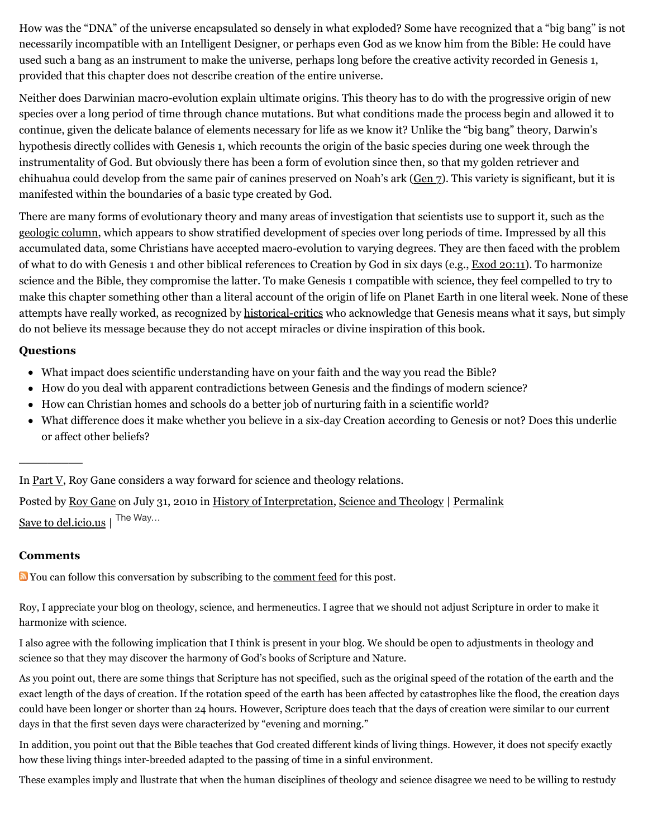How was the "DNA" of the universe encapsulated so densely in what exploded? Some have recognized that a "big bang" is not necessarily incompatible with an Intelligent Designer, or perhaps even God as we know him from the Bible: He could have used such a bang as an instrument to make the universe, perhaps long before the creative activity recorded in Genesis 1, provided that this chapter does not describe creation of the entire universe.

Neither does Darwinian macro-evolution explain ultimate origins. This theory has to do with the progressive origin of new species over a long period of time through chance mutations. But what conditions made the process begin and allowed it to continue, given the delicate balance of elements necessary for life as we know it? Unlike the "big bang" theory, Darwin's hypothesis directly collides with Genesis 1, which recounts the origin of the basic species during one week through the instrumentality of God. But obviously there has been a form of evolution since then, so that my golden retriever and chihuahua could develop from the same pair of canines preserved on Noah's ark ([Gen 7](http://web.archive.org/web/20120713023706/http://www.biblestudytools.com/nrs/genesis/7.html)). This variety is significant, but it is manifested within the boundaries of a basic type created by God.

There are many forms of evolutionary theory and many areas of investigation that scientists use to support it, such as the [geologic column,](http://web.archive.org/web/20120713023706/http://en.wikipedia.org/wiki/Geologic_column) which appears to show stratified development of species over long periods of time. Impressed by all this accumulated data, some Christians have accepted macro-evolution to varying degrees. They are then faced with the problem of what to do with Genesis 1 and other biblical references to Creation by God in six days (e.g., [Exod 20:11](http://web.archive.org/web/20120713023706/http://www.biblestudytools.com/nrs/exodus/20-11.html)). To harmonize science and the Bible, they compromise the latter. To make Genesis 1 compatible with science, they feel compelled to try to make this chapter something other than a literal account of the origin of life on Planet Earth in one literal week. None of these attempts have really worked, as recognized by [historical-critics](http://web.archive.org/web/20120713023706/http://www.memorymeaningfaith.org/blog/2010/07/highercritical-thinking-part-ii.html) who acknowledge that Genesis means what it says, but simply do not believe its message because they do not accept miracles or divine inspiration of this book.

#### **Questions**

- What impact does scientific understanding have on your faith and the way you read the Bible?
- How do you deal with apparent contradictions between Genesis and the findings of modern science?
- How can Christian homes and schools do a better job of nurturing faith in a scientific world?
- What difference does it make whether you believe in a six-day Creation according to Genesis or not? Does this underlie or affect other beliefs?

In [Part V,](http://web.archive.org/web/20120713023706/http://www.memorymeaningfaith.org/blog/2010/08/highercritical-thinking-part-v.html) Roy Gane considers a way forward for science and theology relations.

Posted by [Roy Gane](http://web.archive.org/web/20120713023706/http://profile.typepad.com/rgane) on July 31, 2010 in [History of Interpretation](http://web.archive.org/web/20120713023706/http://www.memorymeaningfaith.org/blog/history-of-interpretation/), [Science and Theology](http://web.archive.org/web/20120713023706/http://www.memorymeaningfaith.org/blog/science-and-theology/) | [Permalink](http://web.archive.org/web/20120713023706/http://www.memorymeaningfaith.org/blog/2010/07/highercritical-thinking-part-iv.html) [Save to del.icio.us](http://web.archive.org/web/20120713023706/http://del.icio.us/post) | The Way...

#### **Comments**

 $\overline{\phantom{a}}$ 

You can follow this conversation by subscribing to the <u>comment feed</u> for this post.

Roy, I appreciate your blog on theology, science, and hermeneutics. I agree that we should not adjust Scripture in order to make it harmonize with science.

I also agree with the following implication that I think is present in your blog. We should be open to adjustments in theology and science so that they may discover the harmony of God's books of Scripture and Nature.

As you point out, there are some things that Scripture has not specified, such as the original speed of the rotation of the earth and the exact length of the days of creation. If the rotation speed of the earth has been affected by catastrophes like the flood, the creation days could have been longer or shorter than 24 hours. However, Scripture does teach that the days of creation were similar to our current days in that the first seven days were characterized by "evening and morning."

In addition, you point out that the Bible teaches that God created different kinds of living things. However, it does not specify exactly how these living things inter-breeded adapted to the passing of time in a sinful environment.

These examples imply and llustrate that when the human disciplines of theology and science disagree we need to be willing to restudy